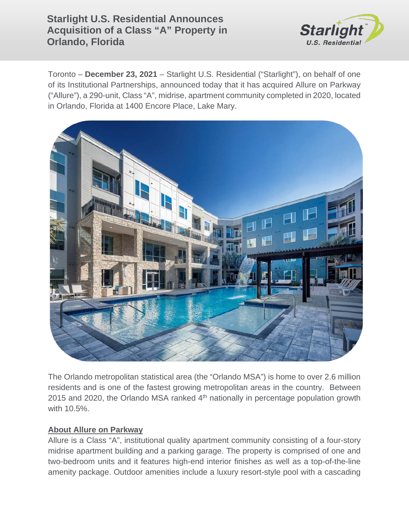# **Starlight U.S. Residential Announces Acquisition of a Class "A" Property in Orlando, Florida**



Toronto – **December 23, 2021** – Starlight U.S. Residential ("Starlight"), on behalf of one of its Institutional Partnerships, announced today that it has acquired Allure on Parkway ("Allure"), a 290-unit, Class "A", midrise, apartment community completed in 2020, located in Orlando, Florida at 1400 Encore Place, Lake Mary.



The Orlando metropolitan statistical area (the "Orlando MSA") is home to over 2.6 million residents and is one of the fastest growing metropolitan areas in the country. Between 2015 and 2020, the Orlando MSA ranked  $4<sup>th</sup>$  nationally in percentage population growth with 10.5%.

### **About Allure on Parkway**

Allure is a Class "A", institutional quality apartment community consisting of a four-story midrise apartment building and a parking garage. The property is comprised of one and two-bedroom units and it features high-end interior finishes as well as a top-of-the-line amenity package. Outdoor amenities include a luxury resort-style pool with a cascading